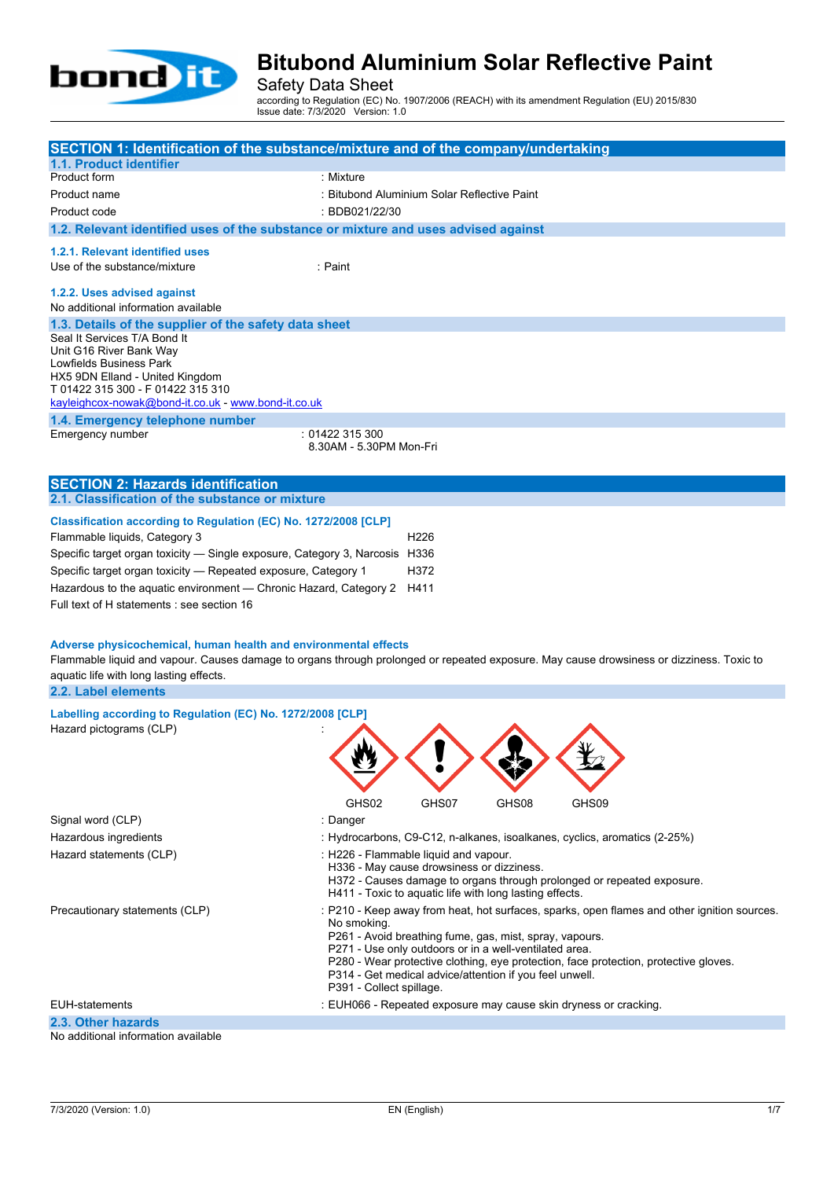

Safety Data Sheet

according to Regulation (EC) No. 1907/2006 (REACH) with its amendment Regulation (EU) 2015/830 Issue date: 7/3/2020 Version: 1.0

| SECTION 1: Identification of the substance/mixture and of the company/undertaking                                                        |                                                         |                  |       |                                                                                             |  |
|------------------------------------------------------------------------------------------------------------------------------------------|---------------------------------------------------------|------------------|-------|---------------------------------------------------------------------------------------------|--|
| 1.1. Product identifier<br>Product form                                                                                                  | : Mixture                                               |                  |       |                                                                                             |  |
| Product name                                                                                                                             | : Bitubond Aluminium Solar Reflective Paint             |                  |       |                                                                                             |  |
|                                                                                                                                          | : BDB021/22/30                                          |                  |       |                                                                                             |  |
| Product code                                                                                                                             |                                                         |                  |       |                                                                                             |  |
| 1.2. Relevant identified uses of the substance or mixture and uses advised against                                                       |                                                         |                  |       |                                                                                             |  |
| 1.2.1. Relevant identified uses                                                                                                          |                                                         |                  |       |                                                                                             |  |
| Use of the substance/mixture                                                                                                             | : Paint                                                 |                  |       |                                                                                             |  |
| 1.2.2. Uses advised against                                                                                                              |                                                         |                  |       |                                                                                             |  |
| No additional information available                                                                                                      |                                                         |                  |       |                                                                                             |  |
| 1.3. Details of the supplier of the safety data sheet                                                                                    |                                                         |                  |       |                                                                                             |  |
| Seal It Services T/A Bond It                                                                                                             |                                                         |                  |       |                                                                                             |  |
| Unit G16 River Bank Way                                                                                                                  |                                                         |                  |       |                                                                                             |  |
| Lowfields Business Park<br>HX5 9DN Elland - United Kingdom                                                                               |                                                         |                  |       |                                                                                             |  |
| T 01422 315 300 - F 01422 315 310                                                                                                        |                                                         |                  |       |                                                                                             |  |
| kayleighcox-nowak@bond-it.co.uk - www.bond-it.co.uk                                                                                      |                                                         |                  |       |                                                                                             |  |
| 1.4. Emergency telephone number                                                                                                          |                                                         |                  |       |                                                                                             |  |
| Emergency number                                                                                                                         | :01422315300                                            |                  |       |                                                                                             |  |
|                                                                                                                                          | 8.30AM - 5.30PM Mon-Fri                                 |                  |       |                                                                                             |  |
|                                                                                                                                          |                                                         |                  |       |                                                                                             |  |
| <b>SECTION 2: Hazards identification</b>                                                                                                 |                                                         |                  |       |                                                                                             |  |
| 2.1. Classification of the substance or mixture                                                                                          |                                                         |                  |       |                                                                                             |  |
| Classification according to Regulation (EC) No. 1272/2008 [CLP]                                                                          |                                                         |                  |       |                                                                                             |  |
| Flammable liquids, Category 3                                                                                                            |                                                         | H <sub>226</sub> |       |                                                                                             |  |
| Specific target organ toxicity — Single exposure, Category 3, Narcosis H336                                                              |                                                         |                  |       |                                                                                             |  |
| Specific target organ toxicity - Repeated exposure, Category 1                                                                           |                                                         | H372             |       |                                                                                             |  |
| Hazardous to the aquatic environment - Chronic Hazard, Category 2                                                                        |                                                         | H411             |       |                                                                                             |  |
| Full text of H statements : see section 16                                                                                               |                                                         |                  |       |                                                                                             |  |
|                                                                                                                                          |                                                         |                  |       |                                                                                             |  |
| Adverse physicochemical, human health and environmental effects                                                                          |                                                         |                  |       |                                                                                             |  |
| Flammable liquid and vapour. Causes damage to organs through prolonged or repeated exposure. May cause drowsiness or dizziness. Toxic to |                                                         |                  |       |                                                                                             |  |
| aquatic life with long lasting effects.                                                                                                  |                                                         |                  |       |                                                                                             |  |
| 2.2. Label elements                                                                                                                      |                                                         |                  |       |                                                                                             |  |
| Labelling according to Regulation (EC) No. 1272/2008 [CLP]                                                                               |                                                         |                  |       |                                                                                             |  |
| Hazard pictograms (CLP)                                                                                                                  |                                                         |                  |       |                                                                                             |  |
|                                                                                                                                          | лh.                                                     |                  |       |                                                                                             |  |
|                                                                                                                                          |                                                         |                  |       |                                                                                             |  |
|                                                                                                                                          |                                                         |                  |       |                                                                                             |  |
|                                                                                                                                          |                                                         |                  |       |                                                                                             |  |
|                                                                                                                                          | GHS02                                                   | GHS07            | GHS08 | GHS09                                                                                       |  |
| Signal word (CLP)                                                                                                                        | : Danger                                                |                  |       |                                                                                             |  |
| Hazardous ingredients                                                                                                                    |                                                         |                  |       | : Hydrocarbons, C9-C12, n-alkanes, isoalkanes, cyclics, aromatics (2-25%)                   |  |
| Hazard statements (CLP)                                                                                                                  | : H226 - Flammable liquid and vapour.                   |                  |       |                                                                                             |  |
|                                                                                                                                          | H336 - May cause drowsiness or dizziness.               |                  |       | H372 - Causes damage to organs through prolonged or repeated exposure.                      |  |
|                                                                                                                                          | H411 - Toxic to aquatic life with long lasting effects. |                  |       |                                                                                             |  |
| Precautionary statements (CLP)                                                                                                           |                                                         |                  |       | : P210 - Keep away from heat, hot surfaces, sparks, open flames and other ignition sources. |  |
|                                                                                                                                          | No smoking.                                             |                  |       |                                                                                             |  |
|                                                                                                                                          | P261 - Avoid breathing fume, gas, mist, spray, vapours. |                  |       |                                                                                             |  |
|                                                                                                                                          | P271 - Use only outdoors or in a well-ventilated area.  |                  |       | P280 - Wear protective clothing, eye protection, face protection, protective gloves.        |  |
|                                                                                                                                          | P314 - Get medical advice/attention if you feel unwell. |                  |       |                                                                                             |  |
|                                                                                                                                          | P391 - Collect spillage.                                |                  |       |                                                                                             |  |

EUH-statements : EUH066 - Repeated exposure may cause skin dryness or cracking.

#### **2.3. Other hazards**

No additional information available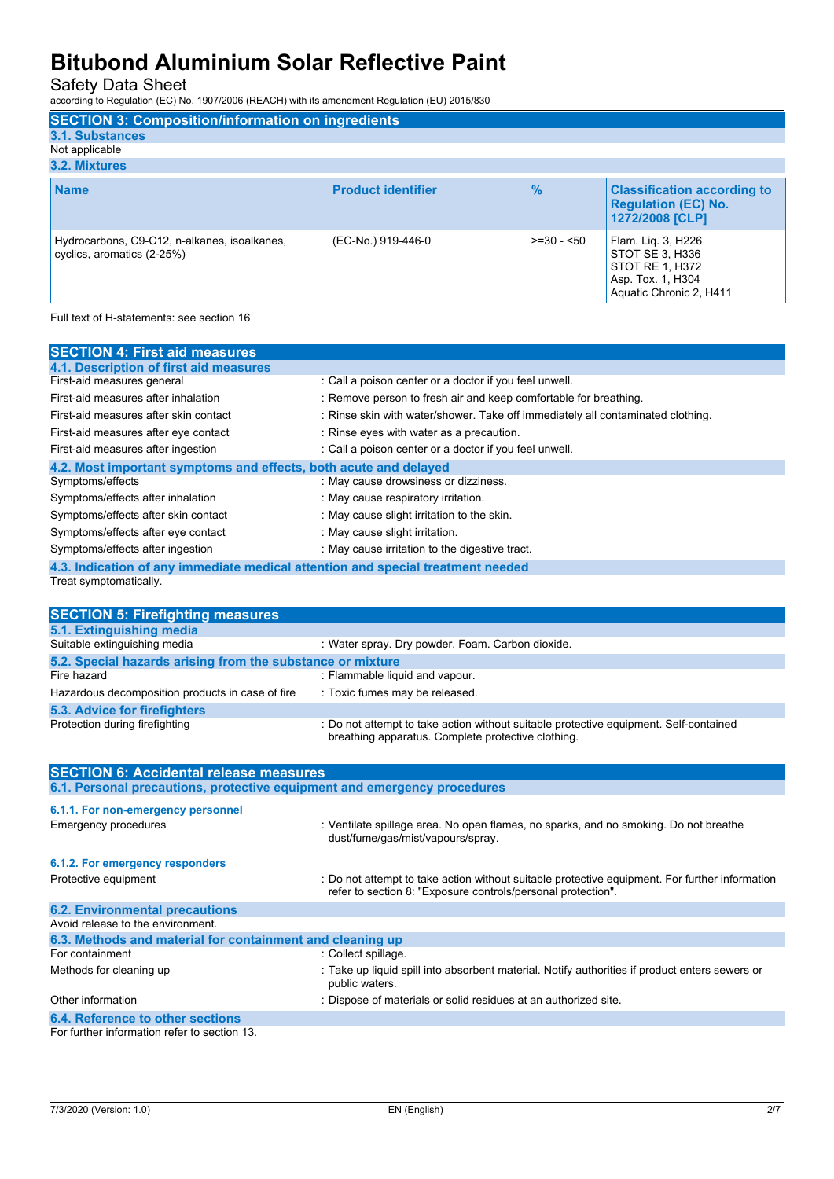Safety Data Sheet

according to Regulation (EC) No. 1907/2006 (REACH) with its amendment Regulation (EU) 2015/830

| <b>SECTION 3: Composition/information on ingredients</b>                   |                           |               |                                                                                                          |
|----------------------------------------------------------------------------|---------------------------|---------------|----------------------------------------------------------------------------------------------------------|
| 3.1. Substances                                                            |                           |               |                                                                                                          |
| Not applicable                                                             |                           |               |                                                                                                          |
| 3.2. Mixtures                                                              |                           |               |                                                                                                          |
| <b>Name</b>                                                                | <b>Product identifier</b> | $\frac{9}{6}$ | <b>Classification according to</b><br><b>Regulation (EC) No.</b><br>1272/2008 [CLP]                      |
| Hydrocarbons, C9-C12, n-alkanes, isoalkanes,<br>cyclics, aromatics (2-25%) | (EC-No.) 919-446-0        | $>=30 - 50$   | Flam. Liq. 3, H226<br>STOT SE 3. H336<br>STOT RE 1, H372<br>Asp. Tox. 1, H304<br>Aquatic Chronic 2, H411 |

Full text of H-statements: see section 16

| <b>SECTION 4: First aid measures</b>                                            |                                                                                 |  |
|---------------------------------------------------------------------------------|---------------------------------------------------------------------------------|--|
| 4.1. Description of first aid measures                                          |                                                                                 |  |
| First-aid measures general                                                      | : Call a poison center or a doctor if you feel unwell.                          |  |
| First-aid measures after inhalation                                             | : Remove person to fresh air and keep comfortable for breathing.                |  |
| First-aid measures after skin contact                                           | : Rinse skin with water/shower. Take off immediately all contaminated clothing. |  |
| First-aid measures after eye contact                                            | : Rinse eyes with water as a precaution.                                        |  |
| First-aid measures after ingestion                                              | : Call a poison center or a doctor if you feel unwell.                          |  |
| 4.2. Most important symptoms and effects, both acute and delayed                |                                                                                 |  |
| Symptoms/effects                                                                | : May cause drowsiness or dizziness.                                            |  |
| Symptoms/effects after inhalation                                               | : May cause respiratory irritation.                                             |  |
| Symptoms/effects after skin contact                                             | : May cause slight irritation to the skin.                                      |  |
| Symptoms/effects after eye contact                                              | : May cause slight irritation.                                                  |  |
| Symptoms/effects after ingestion                                                | : May cause irritation to the digestive tract.                                  |  |
| 4.3. Indication of any immediate medical attention and special treatment needed |                                                                                 |  |
| Treat symptomatically.                                                          |                                                                                 |  |

| <b>SECTION 5: Firefighting measures</b>                    |                                                                                                                                             |  |  |
|------------------------------------------------------------|---------------------------------------------------------------------------------------------------------------------------------------------|--|--|
| 5.1. Extinguishing media                                   |                                                                                                                                             |  |  |
| Suitable extinguishing media                               | : Water spray. Dry powder. Foam. Carbon dioxide.                                                                                            |  |  |
| 5.2. Special hazards arising from the substance or mixture |                                                                                                                                             |  |  |
| Fire hazard                                                | : Flammable liquid and vapour.                                                                                                              |  |  |
| Hazardous decomposition products in case of fire           | : Toxic fumes may be released.                                                                                                              |  |  |
| <b>5.3. Advice for firefighters</b>                        |                                                                                                                                             |  |  |
| Protection during firefighting                             | : Do not attempt to take action without suitable protective equipment. Self-contained<br>breathing apparatus. Complete protective clothing. |  |  |

| <b>SECTION 6: Accidental release measures</b>                            |                                                                                                                                                                |  |
|--------------------------------------------------------------------------|----------------------------------------------------------------------------------------------------------------------------------------------------------------|--|
| 6.1. Personal precautions, protective equipment and emergency procedures |                                                                                                                                                                |  |
| 6.1.1. For non-emergency personnel                                       |                                                                                                                                                                |  |
| <b>Emergency procedures</b>                                              | : Ventilate spillage area. No open flames, no sparks, and no smoking. Do not breathe<br>dust/fume/gas/mist/vapours/spray.                                      |  |
| 6.1.2. For emergency responders                                          |                                                                                                                                                                |  |
| Protective equipment                                                     | : Do not attempt to take action without suitable protective equipment. For further information<br>refer to section 8. "Exposure controls/personal protection". |  |
| <b>6.2. Environmental precautions</b>                                    |                                                                                                                                                                |  |
| Avoid release to the environment.                                        |                                                                                                                                                                |  |
| 6.3. Methods and material for containment and cleaning up                |                                                                                                                                                                |  |
| For containment                                                          | : Collect spillage.                                                                                                                                            |  |
| Methods for cleaning up                                                  | : Take up liquid spill into absorbent material. Notify authorities if product enters sewers or<br>public waters.                                               |  |
| Other information                                                        | : Dispose of materials or solid residues at an authorized site.                                                                                                |  |
| 6.4. Reference to other sections                                         |                                                                                                                                                                |  |
| For further information refer to section 13.                             |                                                                                                                                                                |  |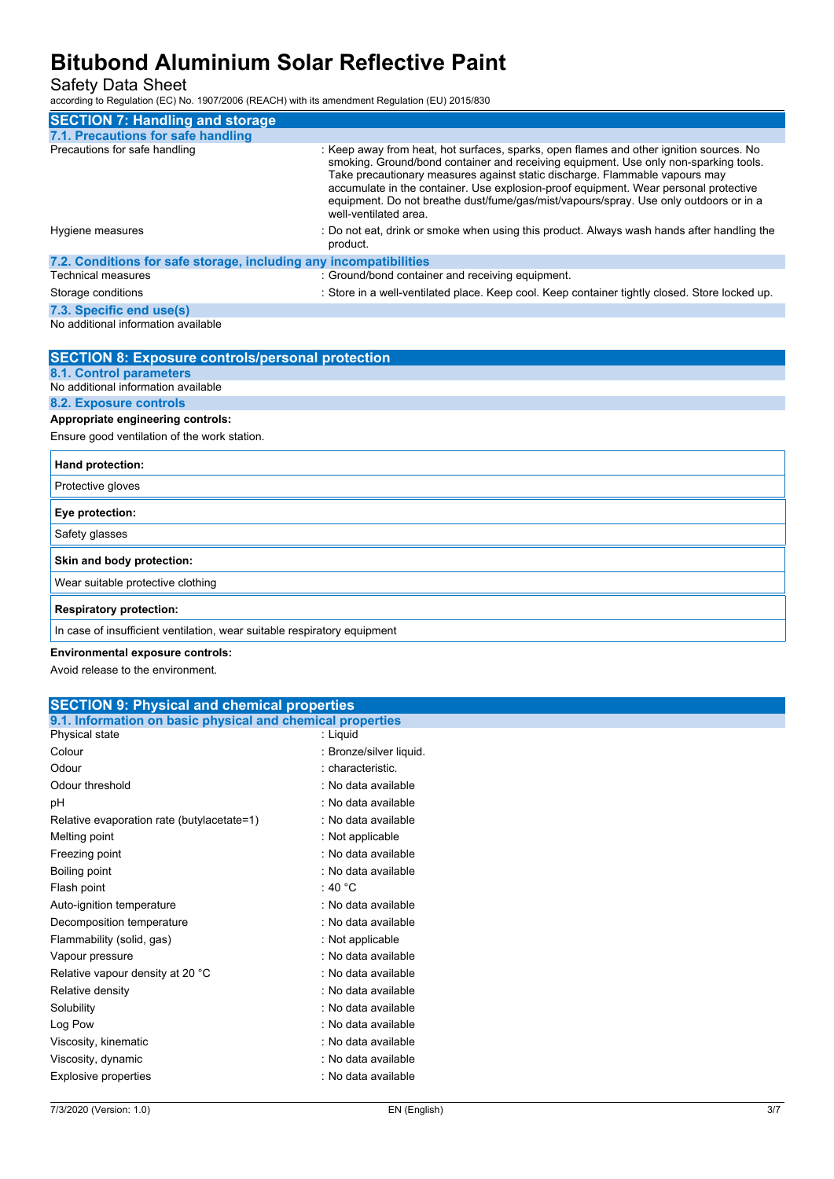Safety Data Sheet

according to Regulation (EC) No. 1907/2006 (REACH) with its amendment Regulation (EU) 2015/830

| <b>SECTION 7: Handling and storage</b>                            |                                                                                                                                                                                                                                                                                                                                                                                                                                                                          |
|-------------------------------------------------------------------|--------------------------------------------------------------------------------------------------------------------------------------------------------------------------------------------------------------------------------------------------------------------------------------------------------------------------------------------------------------------------------------------------------------------------------------------------------------------------|
| 7.1. Precautions for safe handling                                |                                                                                                                                                                                                                                                                                                                                                                                                                                                                          |
| Precautions for safe handling                                     | : Keep away from heat, hot surfaces, sparks, open flames and other ignition sources. No<br>smoking. Ground/bond container and receiving equipment. Use only non-sparking tools.<br>Take precautionary measures against static discharge. Flammable vapours may<br>accumulate in the container. Use explosion-proof equipment. Wear personal protective<br>equipment. Do not breathe dust/fume/gas/mist/vapours/spray. Use only outdoors or in a<br>well-ventilated area. |
| Hygiene measures                                                  | : Do not eat, drink or smoke when using this product. Always wash hands after handling the<br>product.                                                                                                                                                                                                                                                                                                                                                                   |
| 7.2. Conditions for safe storage, including any incompatibilities |                                                                                                                                                                                                                                                                                                                                                                                                                                                                          |
| <b>Technical measures</b>                                         | : Ground/bond container and receiving equipment.                                                                                                                                                                                                                                                                                                                                                                                                                         |
| Storage conditions                                                | : Store in a well-ventilated place. Keep cool. Keep container tightly closed. Store locked up.                                                                                                                                                                                                                                                                                                                                                                           |
| 7.3. Specific end use(s)                                          |                                                                                                                                                                                                                                                                                                                                                                                                                                                                          |
| No additional information available                               |                                                                                                                                                                                                                                                                                                                                                                                                                                                                          |

| <b>SECTION 8: Exposure controls/personal protection</b>                                                         |
|-----------------------------------------------------------------------------------------------------------------|
| <b>8.1. Control parameters</b>                                                                                  |
| No additional information available                                                                             |
| <b>8.2. Exposure controls</b>                                                                                   |
| Appropriate engineering controls:                                                                               |
| Ensure good ventilation of the work station.                                                                    |
| Hand protection:                                                                                                |
| Protective gloves                                                                                               |
| Eye protection:                                                                                                 |
| Safety glasses                                                                                                  |
| Skin and body protection:                                                                                       |
| Wear suitable protective clothing                                                                               |
| <b>Respiratory protection:</b>                                                                                  |
| In case of insufficient ventilation, wear suitable respiratory equipment                                        |
| the contract of the contract of the contract of the contract of the contract of the contract of the contract of |

### **Environmental exposure controls:**

Avoid release to the environment.

| <b>SECTION 9: Physical and chemical properties</b>         |                         |  |
|------------------------------------------------------------|-------------------------|--|
| 9.1. Information on basic physical and chemical properties |                         |  |
| Physical state                                             | : Liquid                |  |
| Colour                                                     | : Bronze/silver liquid. |  |
| Odour                                                      | : characteristic.       |  |
| Odour threshold                                            | : No data available     |  |
| pH                                                         | : No data available     |  |
| Relative evaporation rate (butylacetate=1)                 | : No data available     |  |
| Melting point                                              | : Not applicable        |  |
| Freezing point                                             | : No data available     |  |
| Boiling point                                              | : No data available     |  |
| Flash point                                                | : 40 $^{\circ}$ C       |  |
| Auto-ignition temperature                                  | : No data available     |  |
| Decomposition temperature                                  | : No data available     |  |
| Flammability (solid, gas)                                  | : Not applicable        |  |
| Vapour pressure                                            | : No data available     |  |
| Relative vapour density at 20 °C                           | : No data available     |  |
| Relative density                                           | : No data available     |  |
| Solubility                                                 | : No data available     |  |
| Log Pow                                                    | : No data available     |  |
| Viscosity, kinematic                                       | : No data available     |  |
| Viscosity, dynamic                                         | : No data available     |  |
| Explosive properties                                       | : No data available     |  |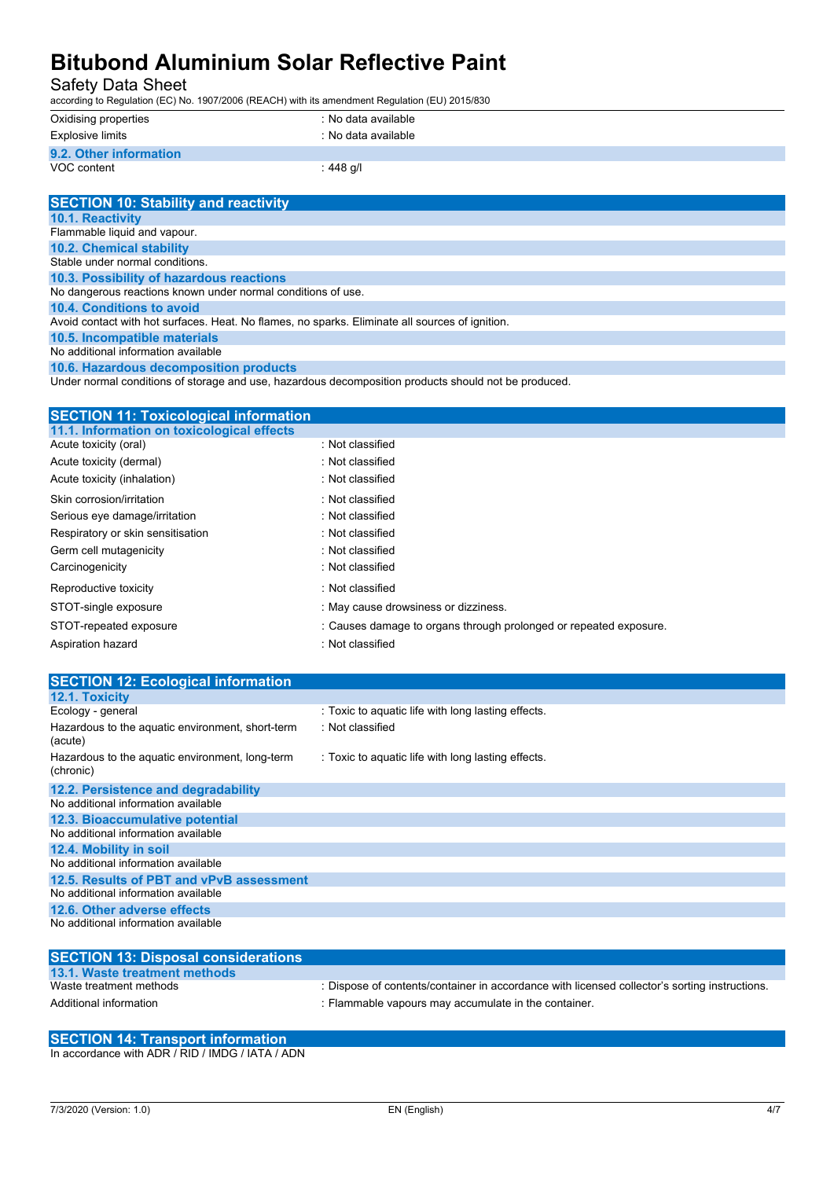Safety Data Sheet

according to Regulation (EC) No. 1907/2006 (REACH) with its amendment Regulation (EU) 2015/830

| Oxidising properties   | : No data available |
|------------------------|---------------------|
| Explosive limits       | : No data available |
| 9.2. Other information |                     |
| VOC content            | : 448 g/l           |

| <b>SECTION 10: Stability and reactivity</b>                                                     |
|-------------------------------------------------------------------------------------------------|
| <b>10.1. Reactivity</b>                                                                         |
| Flammable liquid and vapour.                                                                    |
| <b>10.2. Chemical stability</b>                                                                 |
| Stable under normal conditions.                                                                 |
| 10.3. Possibility of hazardous reactions                                                        |
| No dangerous reactions known under normal conditions of use.                                    |
| 10.4. Conditions to avoid                                                                       |
| Avoid contact with hot surfaces. Heat. No flames, no sparks. Eliminate all sources of ignition. |
| 10.5. Incompatible materials                                                                    |
| No additional information available                                                             |
|                                                                                                 |

**10.6. Hazardous decomposition products**

Under normal conditions of storage and use, hazardous decomposition products should not be produced.

| <b>SECTION 11: Toxicological information</b> |                                                                   |
|----------------------------------------------|-------------------------------------------------------------------|
| 11.1. Information on toxicological effects   |                                                                   |
| Acute toxicity (oral)                        | : Not classified                                                  |
| Acute toxicity (dermal)                      | $:$ Not classified                                                |
| Acute toxicity (inhalation)                  | : Not classified                                                  |
| Skin corrosion/irritation                    | : Not classified                                                  |
| Serious eye damage/irritation                | : Not classified                                                  |
| Respiratory or skin sensitisation            | : Not classified                                                  |
| Germ cell mutagenicity                       | : Not classified                                                  |
| Carcinogenicity                              | : Not classified                                                  |
| Reproductive toxicity                        | : Not classified                                                  |
| STOT-single exposure                         | : May cause drowsiness or dizziness.                              |
| STOT-repeated exposure                       | : Causes damage to organs through prolonged or repeated exposure. |
| Aspiration hazard                            | : Not classified                                                  |
|                                              |                                                                   |

| <b>SECTION 12: Ecological information</b>                                                                          |                                                    |
|--------------------------------------------------------------------------------------------------------------------|----------------------------------------------------|
| 12.1. Toxicity                                                                                                     |                                                    |
| Ecology - general                                                                                                  | : Toxic to aquatic life with long lasting effects. |
| Hazardous to the aquatic environment, short-term<br>(acute)                                                        | : Not classified                                   |
| Hazardous to the aquatic environment, long-term<br>(chronic)                                                       | : Toxic to aquatic life with long lasting effects. |
| 12.2. Persistence and degradability                                                                                |                                                    |
| No additional information available                                                                                |                                                    |
| 12.3. Bioaccumulative potential                                                                                    |                                                    |
| No additional information available                                                                                |                                                    |
| 12.4. Mobility in soil                                                                                             |                                                    |
| No additional information available                                                                                |                                                    |
| 12.5. Results of PBT and vPvB assessment                                                                           |                                                    |
| No additional information available                                                                                |                                                    |
| 12.6. Other adverse effects                                                                                        |                                                    |
| No additional information available                                                                                |                                                    |
| ------------<br><b>Contract Contract</b><br><b>Contract Contract Contract</b><br><b>Contract Contract Contract</b> |                                                    |

| <b>SECTION 13: Disposal considerations</b> |                                                                                               |
|--------------------------------------------|-----------------------------------------------------------------------------------------------|
| 13.1. Waste treatment methods              |                                                                                               |
| Waste treatment methods                    | : Dispose of contents/container in accordance with licensed collector's sorting instructions. |
| Additional information                     | : Flammable vapours may accumulate in the container.                                          |

#### **SECTION 14: Transport information** In accordance with ADR / RID / IMDG / IATA / ADN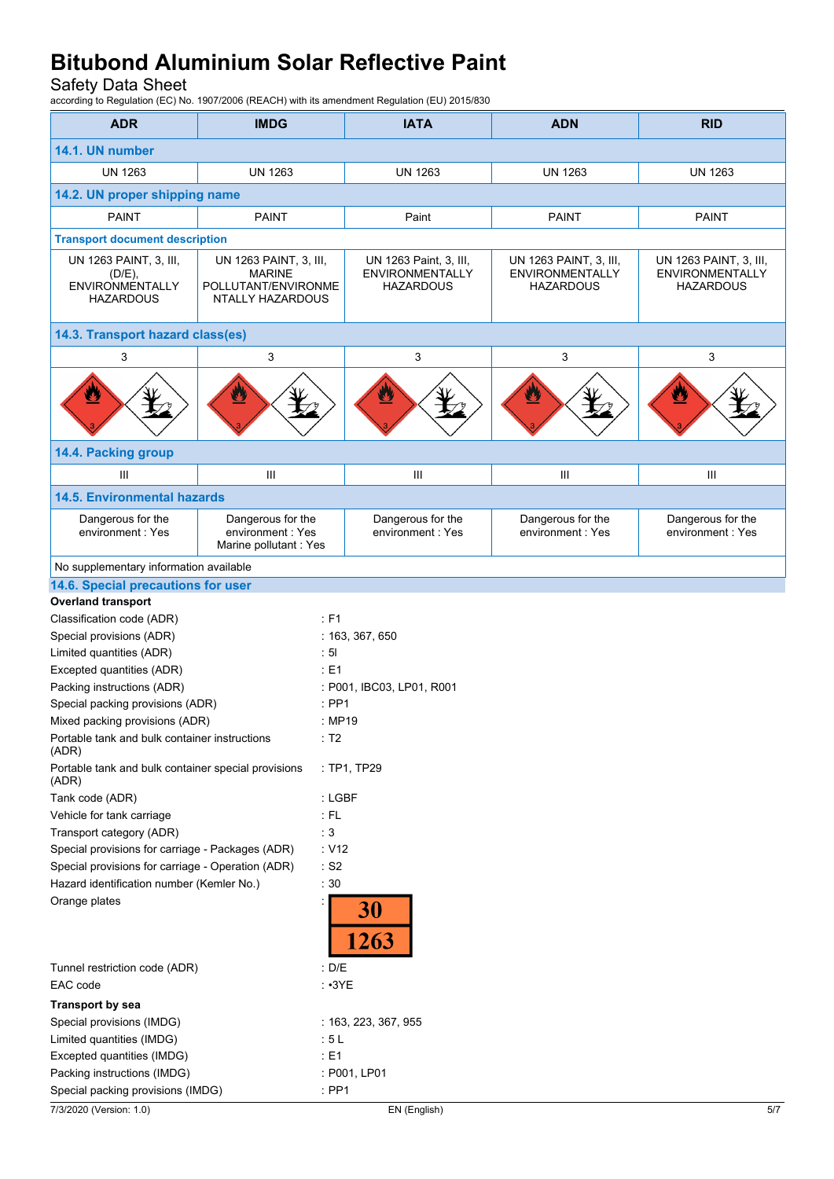Safety Data Sheet

according to Regulation (EC) No. 1907/2006 (REACH) with its amendment Regulation (EU) 2015/830

| <b>ADR</b>                                                   | <b>IMDG</b>                                                     | <b>IATA</b>                                | <b>ADN</b>                                 | <b>RID</b>                                 |
|--------------------------------------------------------------|-----------------------------------------------------------------|--------------------------------------------|--------------------------------------------|--------------------------------------------|
| 14.1. UN number                                              |                                                                 |                                            |                                            |                                            |
| <b>UN 1263</b>                                               | <b>UN 1263</b>                                                  | <b>UN 1263</b>                             | <b>UN 1263</b>                             | <b>UN 1263</b>                             |
| 14.2. UN proper shipping name                                |                                                                 |                                            |                                            |                                            |
| <b>PAINT</b>                                                 | PAINT                                                           | Paint                                      | <b>PAINT</b>                               | <b>PAINT</b>                               |
| <b>Transport document description</b>                        |                                                                 |                                            |                                            |                                            |
| UN 1263 PAINT, 3, III,                                       | UN 1263 PAINT, 3, III,                                          | UN 1263 Paint, 3, III,                     | UN 1263 PAINT, 3, III,                     | UN 1263 PAINT, 3, III,                     |
| (D/E),<br>ENVIRONMENTALLY<br><b>HAZARDOUS</b>                | <b>MARINE</b><br>POLLUTANT/ENVIRONME<br><b>NTALLY HAZARDOUS</b> | <b>ENVIRONMENTALLY</b><br><b>HAZARDOUS</b> | <b>ENVIRONMENTALLY</b><br><b>HAZARDOUS</b> | <b>ENVIRONMENTALLY</b><br><b>HAZARDOUS</b> |
| 14.3. Transport hazard class(es)                             |                                                                 |                                            |                                            |                                            |
| 3                                                            | 3                                                               | 3                                          | 3                                          | 3                                          |
| U                                                            | Ü                                                               | ÿ                                          | $\mathbf{Z}$                               | y                                          |
| 14.4. Packing group                                          |                                                                 |                                            |                                            |                                            |
| III                                                          | Ш                                                               | Ш                                          | Ш                                          | Ш                                          |
| <b>14.5. Environmental hazards</b>                           |                                                                 |                                            |                                            |                                            |
| Dangerous for the<br>environment: Yes                        | Dangerous for the<br>environment: Yes<br>Marine pollutant : Yes | Dangerous for the<br>environment: Yes      | Dangerous for the<br>environment: Yes      | Dangerous for the<br>environment: Yes      |
| No supplementary information available                       |                                                                 |                                            |                                            |                                            |
| 14.6. Special precautions for user                           |                                                                 |                                            |                                            |                                            |
| <b>Overland transport</b>                                    |                                                                 |                                            |                                            |                                            |
| Classification code (ADR)                                    | : F1                                                            |                                            |                                            |                                            |
| Special provisions (ADR)                                     |                                                                 | : 163, 367, 650                            |                                            |                                            |
| Limited quantities (ADR)<br>Excepted quantities (ADR)        | : 51<br>: E1                                                    |                                            |                                            |                                            |
| Packing instructions (ADR)                                   |                                                                 | : P001, IBC03, LP01, R001                  |                                            |                                            |
| Special packing provisions (ADR)                             | $:$ PP1                                                         |                                            |                                            |                                            |
| Mixed packing provisions (ADR)                               |                                                                 | : MP19                                     |                                            |                                            |
| Portable tank and bulk container instructions<br>(ADR)       | : T2                                                            |                                            |                                            |                                            |
| Portable tank and bulk container special provisions<br>(ADR) |                                                                 | : TP1, TP29                                |                                            |                                            |
| Tank code (ADR)                                              |                                                                 | : LGBF                                     |                                            |                                            |
| Vehicle for tank carriage                                    | $:$ FL                                                          |                                            |                                            |                                            |
| Transport category (ADR)                                     | : 3                                                             |                                            |                                            |                                            |
| Special provisions for carriage - Packages (ADR)             | : V12                                                           |                                            |                                            |                                            |
| Special provisions for carriage - Operation (ADR)            | $\cdot$ S2                                                      |                                            |                                            |                                            |
| Hazard identification number (Kemler No.)                    | $\therefore$ 30                                                 |                                            |                                            |                                            |
| Orange plates                                                |                                                                 | 30<br>1263                                 |                                            |                                            |
| Tunnel restriction code (ADR)                                | : D/E                                                           |                                            |                                            |                                            |
| EAC code                                                     |                                                                 | $\cdot$ $\cdot$ 3YE                        |                                            |                                            |
| <b>Transport by sea</b>                                      |                                                                 |                                            |                                            |                                            |
| Special provisions (IMDG)                                    |                                                                 | : 163, 223, 367, 955                       |                                            |                                            |
| Limited quantities (IMDG)                                    | :5L                                                             |                                            |                                            |                                            |
| Excepted quantities (IMDG)<br>Packing instructions (IMDG)    | $\div$ E1                                                       | : P001, LP01                               |                                            |                                            |
| Special packing provisions (IMDG)                            | $:$ PP1                                                         |                                            |                                            |                                            |
| 7/3/2020 (Version: 1.0)                                      |                                                                 | EN (English)                               |                                            | 5/7                                        |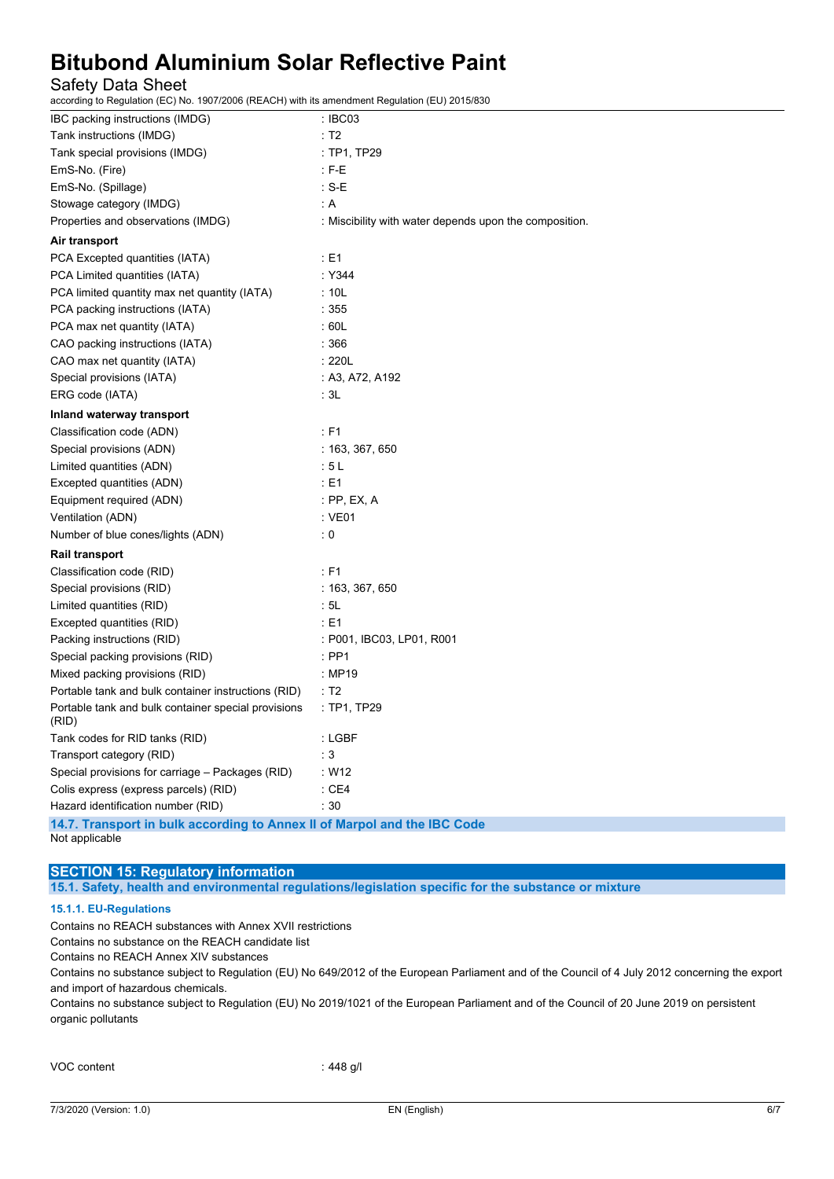### Safety Data Sheet

according to Regulation (EC) No. 1907/2006 (REACH) with its amendment Regulation (EU) 2015/830

| IBC packing instructions (IMDG)                                          | : IBCO3                                                |
|--------------------------------------------------------------------------|--------------------------------------------------------|
| Tank instructions (IMDG)                                                 | : T2                                                   |
| Tank special provisions (IMDG)                                           | : TP1, TP29                                            |
| EmS-No. (Fire)                                                           | : F-E                                                  |
| EmS-No. (Spillage)                                                       | : S-E                                                  |
| Stowage category (IMDG)                                                  | : A                                                    |
| Properties and observations (IMDG)                                       | : Miscibility with water depends upon the composition. |
| Air transport                                                            |                                                        |
| PCA Excepted quantities (IATA)                                           | : E1                                                   |
| PCA Limited quantities (IATA)                                            | : Y344                                                 |
| PCA limited quantity max net quantity (IATA)                             | : 10L                                                  |
| PCA packing instructions (IATA)                                          | :355                                                   |
| PCA max net quantity (IATA)                                              | :60L                                                   |
| CAO packing instructions (IATA)                                          | : 366                                                  |
| CAO max net quantity (IATA)                                              | : 220L                                                 |
| Special provisions (IATA)                                                | : A3, A72, A192                                        |
| ERG code (IATA)                                                          | : 3L                                                   |
| Inland waterway transport                                                |                                                        |
| Classification code (ADN)                                                | : F1                                                   |
| Special provisions (ADN)                                                 | : 163, 367, 650                                        |
| Limited quantities (ADN)                                                 | :5L                                                    |
| Excepted quantities (ADN)                                                | : E1                                                   |
| Equipment required (ADN)                                                 | : PP, EX, A                                            |
| Ventilation (ADN)                                                        | $:$ VE01                                               |
| Number of blue cones/lights (ADN)                                        | $\colon 0$                                             |
| <b>Rail transport</b>                                                    |                                                        |
| Classification code (RID)                                                | $:$ F1                                                 |
| Special provisions (RID)                                                 | : 163, 367, 650                                        |
| Limited quantities (RID)                                                 | : 5L                                                   |
| Excepted quantities (RID)                                                | : E1                                                   |
| Packing instructions (RID)                                               | : P001, IBC03, LP01, R001                              |
| Special packing provisions (RID)                                         | : PP1                                                  |
| Mixed packing provisions (RID)                                           | : MP19                                                 |
| Portable tank and bulk container instructions (RID)                      | : T2                                                   |
| Portable tank and bulk container special provisions<br>(RID)             | : TP1, TP29                                            |
| Tank codes for RID tanks (RID)                                           | : LGBF                                                 |
| Transport category (RID)                                                 | $\therefore$ 3                                         |
| Special provisions for carriage - Packages (RID)                         | : W12                                                  |
| Colis express (express parcels) (RID)                                    | :CE4                                                   |
| Hazard identification number (RID)                                       | :30                                                    |
| 14.7. Transport in bulk according to Annex II of Marpol and the IBC Code |                                                        |

Not applicable

#### **SECTION 15: Regulatory information**

**15.1. Safety, health and environmental regulations/legislation specific for the substance or mixture**

#### **15.1.1. EU-Regulations**

Contains no REACH substances with Annex XVII restrictions

Contains no substance on the REACH candidate list

Contains no REACH Annex XIV substances

Contains no substance subject to Regulation (EU) No 649/2012 of the European Parliament and of the Council of 4 July 2012 concerning the export and import of hazardous chemicals.

Contains no substance subject to Regulation (EU) No 2019/1021 of the European Parliament and of the Council of 20 June 2019 on persistent organic pollutants

VOC content : 448 g/l